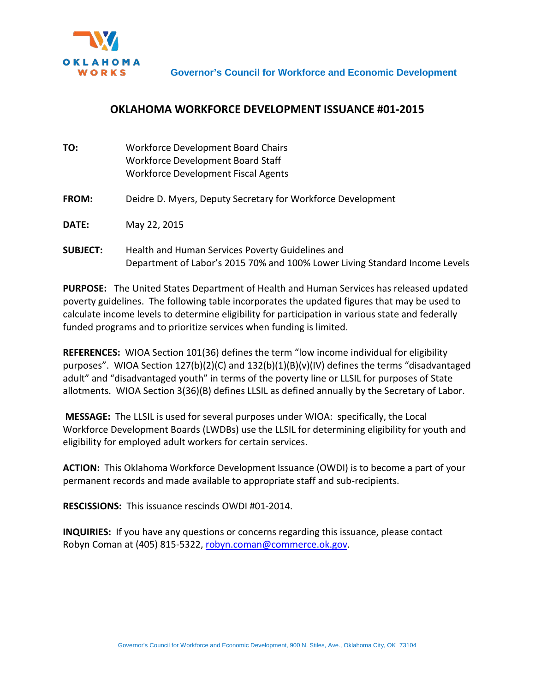

## **OKLAHOMA WORKFORCE DEVELOPMENT ISSUANCE #01-2015**

| TO:             | <b>Workforce Development Board Chairs</b><br>Workforce Development Board Staff<br>Workforce Development Fiscal Agents           |
|-----------------|---------------------------------------------------------------------------------------------------------------------------------|
| <b>FROM:</b>    | Deidre D. Myers, Deputy Secretary for Workforce Development                                                                     |
| <b>DATE:</b>    | May 22, 2015                                                                                                                    |
| <b>SUBJECT:</b> | Health and Human Services Poverty Guidelines and<br>Department of Labor's 2015 70% and 100% Lower Living Standard Income Levels |

**PURPOSE:** The United States Department of Health and Human Services has released updated poverty guidelines. The following table incorporates the updated figures that may be used to calculate income levels to determine eligibility for participation in various state and federally funded programs and to prioritize services when funding is limited.

**REFERENCES:** WIOA Section 101(36) defines the term "low income individual for eligibility purposes". WIOA Section 127(b)(2)(C) and 132(b)(1)(B)(v)(IV) defines the terms "disadvantaged adult" and "disadvantaged youth" in terms of the poverty line or LLSIL for purposes of State allotments. WIOA Section 3(36)(B) defines LLSIL as defined annually by the Secretary of Labor.

**MESSAGE:** The LLSIL is used for several purposes under WIOA: specifically, the Local Workforce Development Boards (LWDBs) use the LLSIL for determining eligibility for youth and eligibility for employed adult workers for certain services.

**ACTION:** This Oklahoma Workforce Development Issuance (OWDI) is to become a part of your permanent records and made available to appropriate staff and sub-recipients.

**RESCISSIONS:** This issuance rescinds OWDI #01-2014.

**INQUIRIES:** If you have any questions or concerns regarding this issuance, please contact Robyn Coman at (405) 815-5322, [robyn.coman@commerce.ok.gov.](mailto:robyn.coman@commerce.ok.gov)